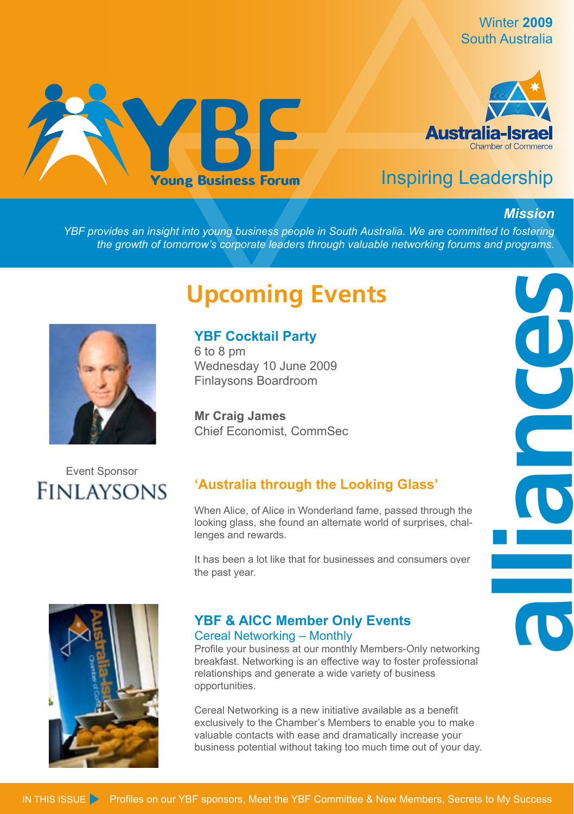Winter **2009** South Australia





## Inspiring Leadership

#### *Mission*

**alliances**

*YBF provides an insight into young business people in South Australia. We are committed to fostering the growth of tomorrow's corporate leaders through valuable networking forums and programs.*

## **Upcoming Events**



## **YBF Cocktail Party**

6 to 8 pm Wednesday 10 June 2009 Finlaysons Boardroom

**Mr Craig James**  Chief Economist, CommSec

## Event Sponsor**FINLAYSONS**

## **'Australia through the Looking Glass'**

When Alice, of Alice in Wonderland fame, passed through the looking glass, she found an alternate world of surprises, challenges and rewards.

It has been a lot like that for businesses and consumers over the past year.



#### **YBF & AICC Member Only Events** Cereal Networking – Monthly

Profile your business at our monthly Members-Only networking breakfast. Networking is an effective way to foster professional relationships and generate a wide variety of business opportunities.

Cereal Networking is a new initiative available as a benefit exclusively to the Chamber's Members to enable you to make valuable contacts with ease and dramatically increase your business potential without taking too much time out of your day.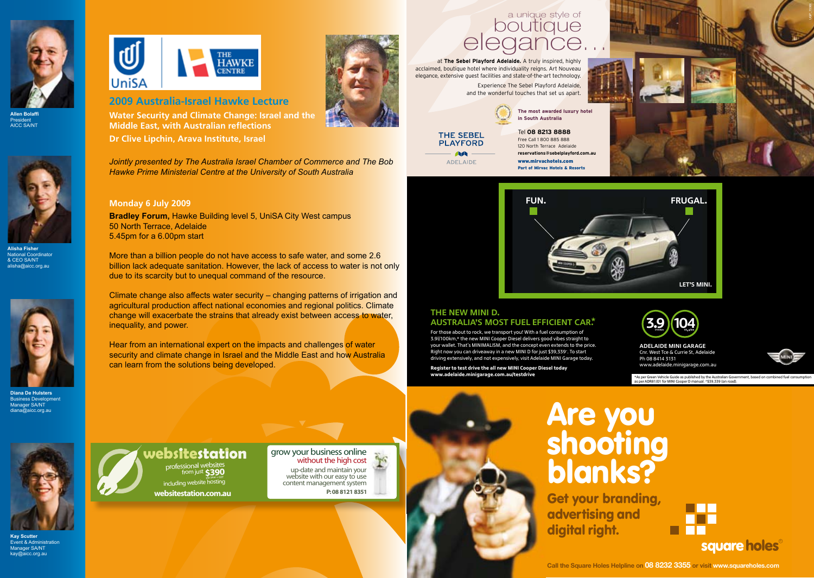





**Alisha Fisher** National Coordinato & CEO SA/NT alisha@aicc.org.au



**Diana De Hulsters Business Development** Manager SA/NT diana@aicc.org.au



**Kay Scutter** Event & Administration Manager SA/NT kay@aicc.org.au



#### **2009 Australia-Israel Hawke Lecture**

**Water Security and Climate Change: Israel and the Middle East, with Australian reflections**

**Dr Clive Lipchin, Arava Institute, Israel**

*Jointly presented by The Australia Israel Chamber of Commerce and The Bob Hawke Prime Ministerial Centre at the University of South Australia*

#### **Monday 6 July 2009**

**Bradley Forum,** Hawke Building level 5, UniSA City West campus 50 North Terrace, Adelaide 5.45pm for a 6.00pm start

More than a billion people do not have access to safe water, and some 2.6 billion lack adequate sanitation. However, the lack of access to water is not only due to its scarcity but to unequal command of the resource.

Climate change also affects water security – changing patterns of irrigation and agricultural production affect national economies and regional politics. Climate change will exacerbate the strains that already exist between access to water, inequality, and power.

Hear from an international expert on the impacts and challenges of water security and climate change in Israel and the Middle East and how Australia can learn from the solutions being developed.

# a unique style of<br>boutique<br>elegance...

at **The Sebel Playford Adelaide.** A truly inspired, highly acclaimed, boutique hotel where individuality reigns. Art Nouveau elegance, extensive guest facilities and state-of-the-art technology. Experience The Sebel Playford Adelaide, and the wonderful touches that set us apart.



**THE SEBEL PLAYFORD AA** 

**ADELAIDE** 

Tel **08 8213 8888** Free Call 1 800 885 888 120 North Terrace Adelaide **reservations@sebelplayford.com.au** www.mirvachotels.com Part of Mirvac Hotels & Resorts



UGP\_15366



### AUSTRALIA'S MOST FUEL EFFICIENT CAR.\*  $\qquad \qquad \textbf{(3.9)(104)}$ The new MInI D.

3.9l/100km,\* the new MINI Cooper Diesel delivers good vibes straight to your wallet. That's MINIMALISM, and the concept even extends to the price. And an extended on the DELAIDE MINI GARAG Right now you can driveaway in a new MINI D for just \$39,339°. To start Canada Concept extends to the concept even extendio driving extensively, and not expensively, visit Adelaide MINI Garage today.<br>محافظة المقاطعة المستند For those about to rock, we transport you! With a fuel consumption of

**Register to test drive the all new MINI Cooper Diesel today.** And the manufacture minimum is a selection of the  $\mathbf{R}$ **www.adelaide.minigarage.com.au/testdrive**

adelaide MInI GArAGe Cnr. West Tce & Currie St, Adelaide www.adelaide.minigarage.com

**104CO2 g/km**

**3.9l/100km**



. To start www.adelaide.minigarage.com.au adelaide MInI GArAGe Cnr. West Tce & Currie St, Adelaide Ph 08 8414 3131

\*As per Green Vehicle Guide as published by the Australian Government, based on combined fuel consumption<br>as per ADR81 /01 for MINI Cooper D manual. ^\$39,339 (on road).



including website nosting **websitestation.com.au P:08 8121 8351**

 $\mathbf{Y}$ website with our easy to use<br>content management system



advertising and digital right.

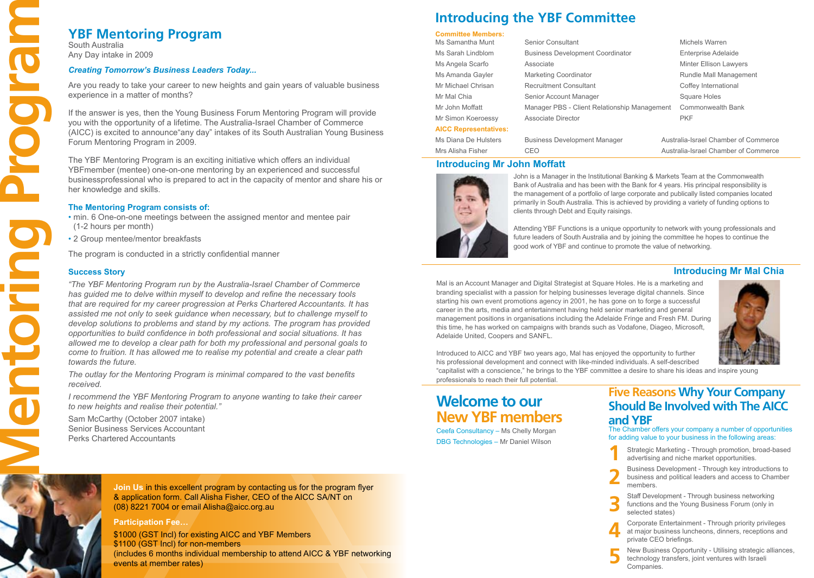South Australia Any Day intake in 2009

#### *Creating Tomorrow's Business Leaders Today...*

Are you ready to take your career to new heights and gain years of valuable business experience in a matter of months?

If the answer is yes, then the Young Business Forum Mentoring Program will provide you with the opportunity of a lifetime. The Australia-Israel Chamber of Commerce (AICC) is excited to announce"any day" intakes of its South Australian Young Business Forum Mentoring Program in 2009.

The YBF Mentoring Program is an exciting initiative which offers an individual YBFmember (mentee) one-on-one mentoring by an experienced and successful businessprofessional who is prepared to act in the capacity of mentor and share his or her knowledge and skills.

#### **The Mentoring Program consists of:**

• min. 6 One-on-one meetings between the assigned mentor and mentee pair (1-2 hours per month)

• 2 Group mentee/mentor breakfasts

The program is conducted in a strictly confidential manner

#### **Success Story**

**YBF Mentoring Program**<br>
South Australia<br>
Any Day Intake in 2009<br>
Creating Temororw's Business Leaders<br>
Are you ready to take your career to new 1<br>
experience in a matter of months?<br>
The answer is yes, then the Young Busin *"The YBF Mentoring Program run by the Australia-Israel Chamber of Commerce has guided me to delve within myself to develop and refine the necessary tools that are required for my career progression at Perks Chartered Accountants. It has assisted me not only to seek guidance when necessary, but to challenge myself to develop solutions to problems and stand by my actions. The program has provided opportunities to build confidence in both professional and social situations. It has allowed me to develop a clear path for both my professional and personal goals to come to fruition. It has allowed me to realise my potential and create a clear path towards the future.* 

*The outlay for the Mentoring Program is minimal compared to the vast benefits received.* 

*I recommend the YBF Mentoring Program to anyone wanting to take their career to new heights and realise their potential."*

Sam McCarthy (October 2007 intake) Senior Business Services Accountant Perks Chartered Accountants

## **Introducing the YBF Committee**

#### **Committee Members:**

| Ms Samantha Munt             |
|------------------------------|
| Ms Sarah Lindblom            |
| Ms Angela Scarfo             |
| Ms Amanda Gayler             |
| Mr Michael Chrisan           |
| Mr Mal Chia                  |
| Mr John Moffatt              |
| Mr Simon Koeroessy           |
| <b>AICC Representatives:</b> |
|                              |

Senior Consultant Michels Warren Business Development Coordinator **Enterprise Adelaide** Associate **Associate** Minter Ellison Lawyers Marketing Coordinator **Marketing Coordinator** Management Recruitment Consultant Consultant Consultant Consultant Consultant Coffey International Senior Account Manager Senior Account Manager Square Holes Manager PBS - Client Relationship Management Commonwealth Bank Associate Director **Community** PKF

| Ms Diana De Hulsters | <b>Business Development Manager</b> | Australia-Israel Chamber of Commerce |
|----------------------|-------------------------------------|--------------------------------------|
| Mrs Alisha Fisher    | CEO                                 | Australia-Israel Chamber of Commerce |

#### **Introducing Mr John Moffatt**



John is a Manager in the Institutional Banking & Markets Team at the Commonwealth Bank of Australia and has been with the Bank for 4 years. His principal responsibility is the management of a portfolio of large corporate and publically listed companies located primarily in South Australia. This is achieved by providing a variety of funding options to clients through Debt and Equity raisings.

Attending YBF Functions is a unique opportunity to network with young professionals and future leaders of South Australia and by joining the committee he hopes to continue the good work of YBF and continue to promote the value of networking.

#### **Introducing Mr Mal Chia**

Mal is an Account Manager and Digital Strategist at Square Holes. He is a marketing and branding specialist with a passion for helping businesses leverage digital channels. Since starting his own event promotions agency in 2001, he has gone on to forge a successful career in the arts, media and entertainment having held senior marketing and general management positions in organisations including the Adelaide Fringe and Fresh FM. During this time, he has worked on campaigns with brands such as Vodafone, Diageo, Microsoft, Adelaide United, Coopers and SANFL.



Introduced to AICC and YBF two years ago, Mal has enjoyed the opportunity to further his professional development and connect with like-minded individuals. A self-described "capitalist with a conscience," he brings to the YBF committee a desire to share his ideas and inspire young professionals to reach their full potential.

**5**

## **Welcome to our New YBF members**

Ceefa Consultancy – Ms Chelly Morgan DBG Technologies – Mr Daniel Wilson

## **Five Reasons Why Your Company Should Be Involved with The AICC and YBF**

The Chamber offers your company a number of opportunities for adding value to your business in the following areas:

- Strategic Marketing Through promotion, broad-based advertising and niche market opportunities. **1**
- Business Development Through key introductions to business and political leaders and access to Chamber members. **2**
- Staff Development Through business networking functions and the Young Business Forum (only in selected states) **3**
- Corporate Entertainment Through priority privileges at major business luncheons, dinners, receptions and private CEO briefings. **4**
	- New Business Opportunity Utilising strategic alliances, technology transfers, joint ventures with Israeli Companies.

**Join Us** in this excellent program by contacting us for the program flyer & application form. Call Alisha Fisher, CEO of the AICC SA/NT on (08) 8221 7004 or email Alisha@aicc.org.au

#### **Participation Fee…**

\$1000 (GST Incl) for existing AICC and YBF Members \$1100 (GST Incl) for non-members (includes 6 months individual membership to attend AICC & YBF networking events at member rates)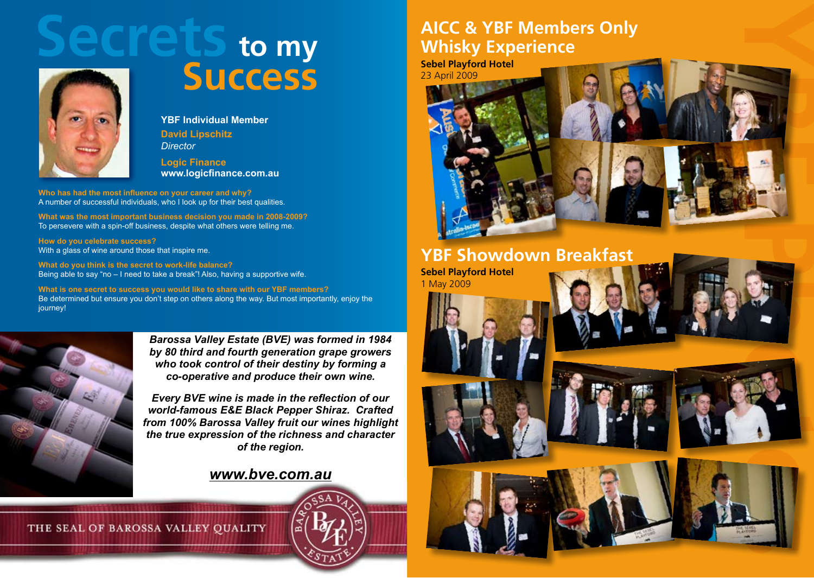



**Success**

**YBF Individual Member David Lipschitz** *Director*

**Logic Finance www.logicfinance.com.au** 

**Who has had the most influence on your career and why?** A number of successful individuals, who I look up for their best qualities.

**What was the most important business decision you made in 2008-2009?** To persevere with a spin-off business, despite what others were telling me.

**How do you celebrate success?** With a glass of wine around those that inspire me.

**What do you think is the secret to work-life balance?** Being able to say "no – I need to take a break"! Also, having a supportive wife.

**What is one secret to success you would like to share with our YBF members?** Be determined but ensure you don't step on others along the way. But most importantly, enjoy the iourney!



*Barossa Valley Estate (BVE) was formed in 1984 by 80 third and fourth generation grape growers who took control of their destiny by forming a co-operative and produce their own wine.* 

*Every BVE wine is made in the reflection of our world-famous E&E Black Pepper Shiraz. Crafted from 100% Barossa Valley fruit our wines highlight the true expression of the richness and character of the region.* 

## *www.bve.com.au*

THE SEAL OF BAROSSA VALLEY QUALITY

## **AICC & YBF Members Only Whisky Experience**

**Sebel Playford Hotel**  23 April 2009



## **YBF Showdown Breakfast**

**Sebel Playford Hotel** 1 May 2009